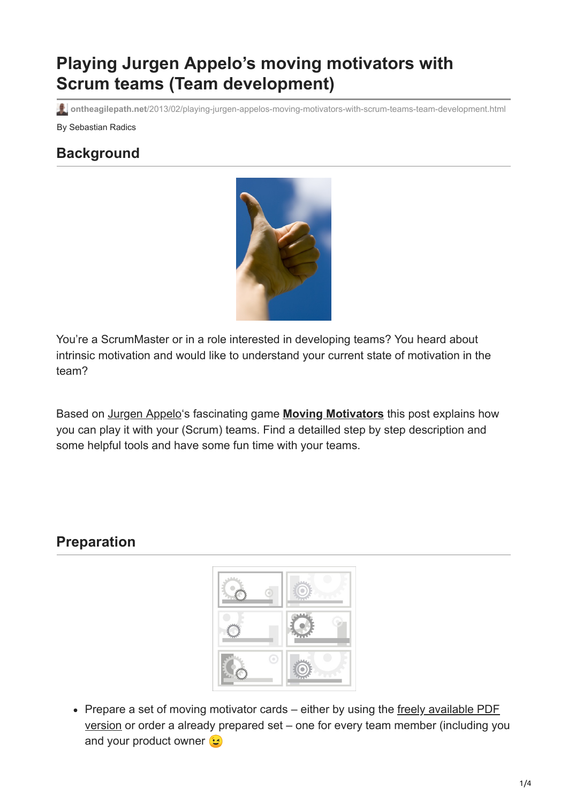# **Playing Jurgen Appelo's moving motivators with Scrum teams (Team development)**

**ontheagilepath.net**[/2013/02/playing-jurgen-appelos-moving-motivators-with-scrum-teams-team-development.html](https://www.ontheagilepath.net/2013/02/playing-jurgen-appelos-moving-motivators-with-scrum-teams-team-development.html)

By Sebastian Radics

#### **Background**



You're a ScrumMaster or in a role interested in developing teams? You heard about intrinsic motivation and would like to understand your current state of motivation in the team?

Based on [Jurgen Appelo'](http://www.jurgenappelo.com/about/)s fascinating game **[Moving Motivators](http://www.noop.nl/2011/09/moving-motivators-free-exercise.html)** this post explains how you can play it with your (Scrum) teams. Find a detailled step by step description and some helpful tools and have some fun time with your teams.

### **Preparation**



• [Prepare a set of moving motivator cards – either by using the freely available PDF](http://www.management30.com/product/moving-motivators/) version or order a already prepared set – one for every team member (including you and your product owner  $\mathbf{C}$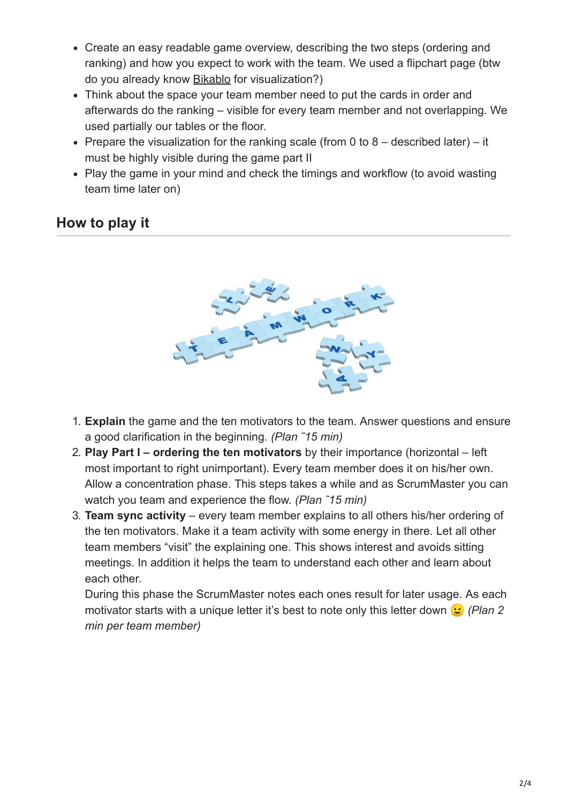- Create an easy readable game overview, describing the two steps (ordering and ranking) and how you expect to work with the team. We used a flipchart page (btw do you already know [Bikablo](http://www.kommunikationslotsen.de/wp-content/uploads/2012/02/kl_visualfacilitating_trainings_2012-9.pdf) for visualization?)
- Think about the space your team member need to put the cards in order and afterwards do the ranking – visible for every team member and not overlapping. We used partially our tables or the floor.
- Prepare the visualization for the ranking scale (from 0 to  $8 -$  described later) it must be highly visible during the game part II
- Play the game in your mind and check the timings and workflow (to avoid wasting team time later on)

## **How to play it**



- 1. **Explain** the game and the ten motivators to the team. Answer questions and ensure a good clarification in the beginning. *(Plan ˜15 min)*
- 2. **Play Part I ordering the ten motivators** by their importance (horizontal left most important to right unimportant). Every team member does it on his/her own. Allow a concentration phase. This steps takes a while and as ScrumMaster you can watch you team and experience the flow. *(Plan ˜15 min)*
- 3. **Team sync activity** every team member explains to all others his/her ordering of the ten motivators. Make it a team activity with some energy in there. Let all other team members "visit" the explaining one. This shows interest and avoids sitting meetings. In addition it helps the team to understand each other and learn about each other.

During this phase the ScrumMaster notes each ones result for later usage. As each motivator starts with a unique letter it's best to note only this letter down *(Plan 2 min per team member)*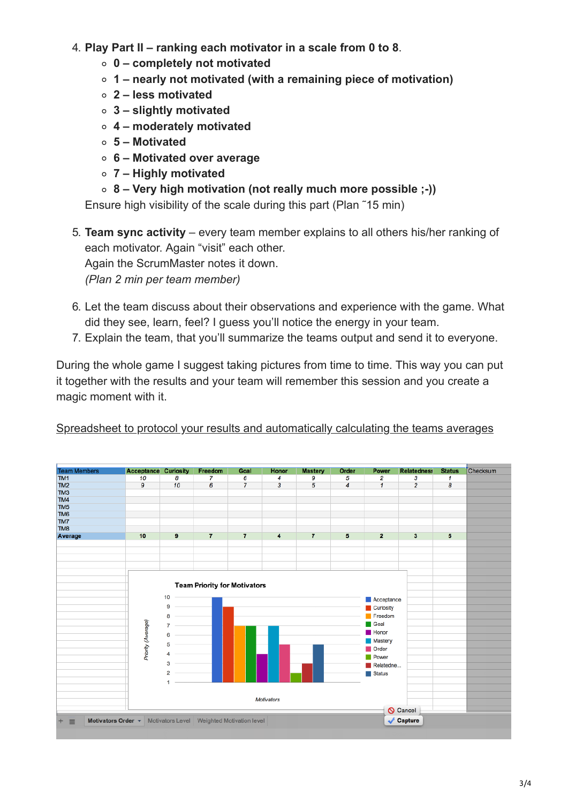- 4. **Play Part II ranking each motivator in a scale from 0 to 8**.
	- **0 completely not motivated**
	- **1 nearly not motivated (with a remaining piece of motivation)**
	- **2 less motivated**
	- **3 slightly motivated**
	- **4 moderately motivated**
	- **5 Motivated**
	- **6 Motivated over average**
	- **7 Highly motivated**
	- **8 Very high motivation (not really much more possible ;-))**

Ensure high visibility of the scale during this part (Plan ˜15 min)

5. **Team sync activity** – every team member explains to all others his/her ranking of each motivator. Again "visit" each other. Again the ScrumMaster notes it down. *(Plan 2 min per team member)*

- 6. Let the team discuss about their observations and experience with the game. What did they see, learn, feel? I guess you'll notice the energy in your team.
- 7. Explain the team, that you'll summarize the teams output and send it to everyone.

During the whole game I suggest taking pictures from time to time. This way you can put it together with the results and your team will remember this session and you create a magic moment with it.